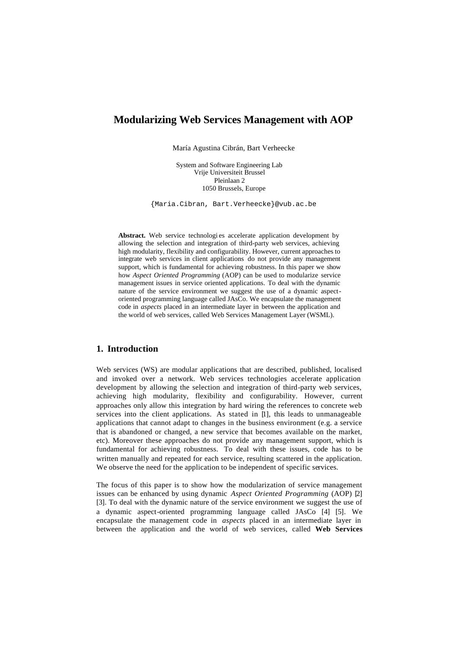# **Modularizing Web Services Management with AOP**

María Agustina Cibrán, Bart Verheecke

System and Software Engineering Lab Vrije Universiteit Brussel Pleinlaan 2 1050 Brussels, Europe

{Maria.Cibran, Bart.Verheecke}@vub.ac.be

Abstract. Web service technologies accelerate application development by allowing the selection and integration of third-party web services, achieving high modularity, flexibility and configurability. However, current approaches to integrate web services in client applications do not provide any management support, which is fundamental for achieving robustness. In this paper we show how *Aspect Oriented Programming* (AOP) can be used to modularize service management issues in service oriented applications. To deal with the dynamic nature of the service environment we suggest the use of a dynamic aspectoriented programming language called JAsCo. We encapsulate the management code in *aspects* placed in an intermediate layer in between the application and the world of web services, called Web Services Management Layer (WSML).

# **1. Introduction**

Web services (WS) are modular applications that are described, published, localised and invoked over a network. Web services technologies accelerate application development by allowing the selection and integration of third-party web services, achieving high modularity, flexibility and configurability. However, current approaches only allow this integration by hard wiring the references to concrete web services into the client applications. As stated in  $[1]$ , this leads to unmanageable applications that cannot adapt to changes in the business environment (e.g. a service that is abandoned or changed, a new service that becomes available on the market, etc). Moreover these approaches do not provide any management support, which is fundamental for achieving robustness. To deal with these issues, code has to be written manually and repeated for each service, resulting scattered in the application. We observe the need for the application to be independent of specific services.

The focus of this paper is to show how the modularization of service management issues can be enhanced by using dynamic *Aspect Oriented Programming* (AOP) [2] [3]. To deal with the dynamic nature of the service environment we suggest the use of a dynamic aspect-oriented programming language called JAsCo [4] [5]. We encapsulate the management code in *aspects* placed in an intermediate layer in between the application and the world of web services, called **Web Services**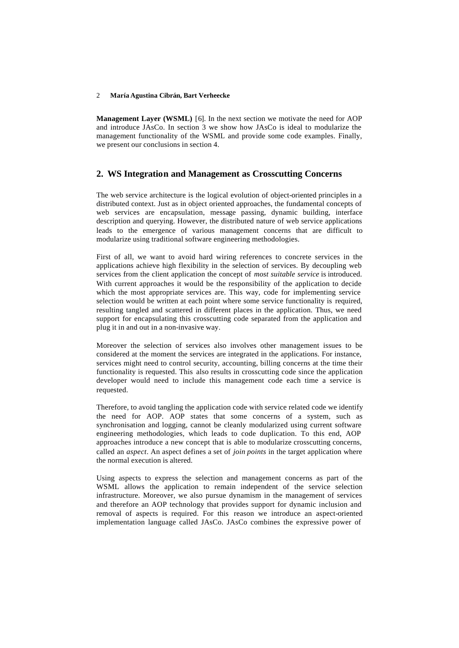**Management Layer (WSML)** [6]. In the next section we motivate the need for AOP and introduce JAsCo. In section 3 we show how JAsCo is ideal to modularize the management functionality of the WSML and provide some code examples. Finally, we present our conclusions in section 4.

### **2. WS Integration and Management as Crosscutting Concerns**

The web service architecture is the logical evolution of object-oriented principles in a distributed context. Just as in object oriented approaches, the fundamental concepts of web services are encapsulation, message passing, dynamic building, interface description and querying. However, the distributed nature of web service applications leads to the emergence of various management concerns that are difficult to modularize using traditional software engineering methodologies.

First of all, we want to avoid hard wiring references to concrete services in the applications achieve high flexibility in the selection of services. By decoupling web services from the client application the concept of *most suitable service* is introduced. With current approaches it would be the responsibility of the application to decide which the most appropriate services are. This way, code for implementing service selection would be written at each point where some service functionality is required, resulting tangled and scattered in different places in the application. Thus, we need support for encapsulating this crosscutting code separated from the application and plug it in and out in a non-invasive way.

Moreover the selection of services also involves other management issues to be considered at the moment the services are integrated in the applications. For instance, services might need to control security, accounting, billing concerns at the time their functionality is requested. This also results in crosscutting code since the application developer would need to include this management code each time a service is requested.

Therefore, to avoid tangling the application code with service related code we identify the need for AOP. AOP states that some concerns of a system, such as synchronisation and logging, cannot be cleanly modularized using current software engineering methodologies, which leads to code duplication. To this end, AOP approaches introduce a new concept that is able to modularize crosscutting concerns, called an *aspect*. An aspect defines a set of *join points* in the target application where the normal execution is altered.

Using aspects to express the selection and management concerns as part of the WSML allows the application to remain independent of the service selection infrastructure. Moreover, we also pursue dynamism in the management of services and therefore an AOP technology that provides support for dynamic inclusion and removal of aspects is required. For this reason we introduce an aspect-oriented implementation language called JAsCo. JAsCo combines the expressive power of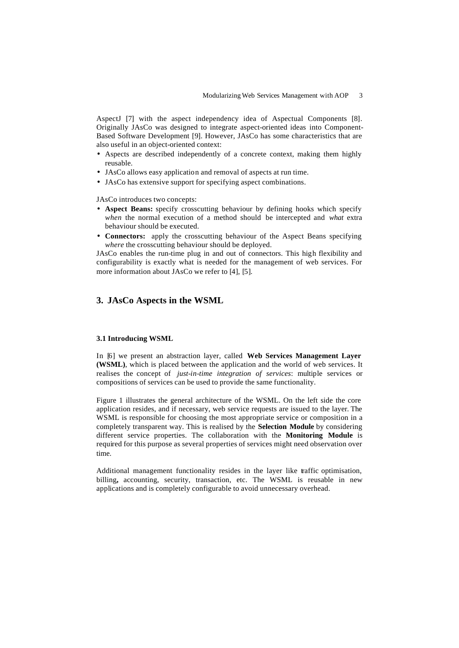AspectJ [7] with the aspect independency idea of Aspectual Components [8]. Originally JAsCo was designed to integrate aspect-oriented ideas into Component-Based Software Development [9]. However, JAsCo has some characteristics that are also useful in an object-oriented context:

- Aspects are described independently of a concrete context, making them highly reusable.
- JAsCo allows easy application and removal of aspects at run time.
- JAsCo has extensive support for specifying aspect combinations.

JAsCo introduces two concepts:

- **Aspect Beans:** specify crosscutting behaviour by defining hooks which specify *when* the normal execution of a method should be intercepted and *what* extra behaviour should be executed.
- **Connectors:** apply the crosscutting behaviour of the Aspect Beans specifying *where* the crosscutting behaviour should be deployed.

JAsCo enables the run-time plug in and out of connectors. This high flexibility and configurability is exactly what is needed for the management of web services. For more information about JAsCo we refer to [4], [5].

## **3. JAsCo Aspects in the WSML**

#### **3.1 Introducing WSML**

In [6] we present an abstraction layer, called **Web Services Management Layer (WSML)**, which is placed between the application and the world of web services. It realises the concept of *just-in-time integration of services*: multiple services or compositions of services can be used to provide the same functionality.

Figure 1 illustrates the general architecture of the WSML. On the left side the core application resides, and if necessary, web service requests are issued to the layer. The WSML is responsible for choosing the most appropriate service or composition in a completely transparent way. This is realised by the **Selection Module** by considering different service properties. The collaboration with the **Monitoring Module** is required for this purpose as several properties of services might need observation over time.

Additional management functionality resides in the layer like traffic optimisation, billing**,** accounting, security, transaction, etc. The WSML is reusable in new applications and is completely configurable to avoid unnecessary overhead.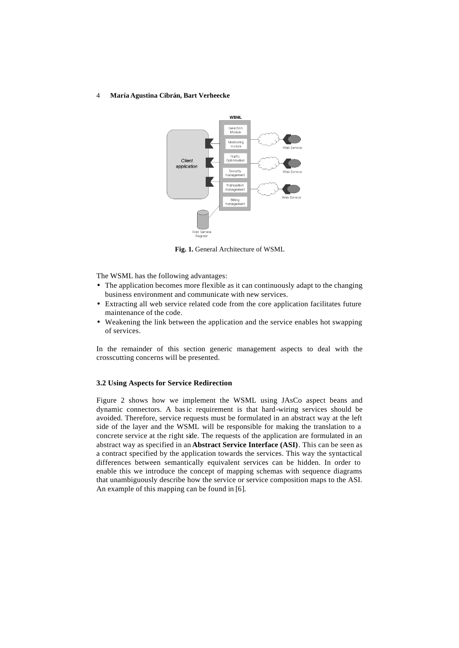

**Fig. 1.** General Architecture of WSML

The WSML has the following advantages:

- The application becomes more flexible as it can continuously adapt to the changing business environment and communicate with new services.
- Extracting all web service related code from the core application facilitates future maintenance of the code.
- Weakening the link between the application and the service enables hot swapping of services.

In the remainder of this section generic management aspects to deal with the crosscutting concerns will be presented.

### **3.2 Using Aspects for Service Redirection**

Figure 2 shows how we implement the WSML using JAsCo aspect beans and dynamic connectors. A basic requirement is that hard-wiring services should be avoided. Therefore, service requests must be formulated in an abstract way at the left side of the layer and the WSML will be responsible for making the translation to a concrete service at the right side. The requests of the application are formulated in an abstract way as specified in an **Abstract Service Interface (ASI)**. This can be seen as a contract specified by the application towards the services. This way the syntactical differences between semantically equivalent services can be hidden. In order to enable this we introduce the concept of mapping schemas with sequence diagrams that unambiguously describe how the service or service composition maps to the ASI. An example of this mapping can be found in [6].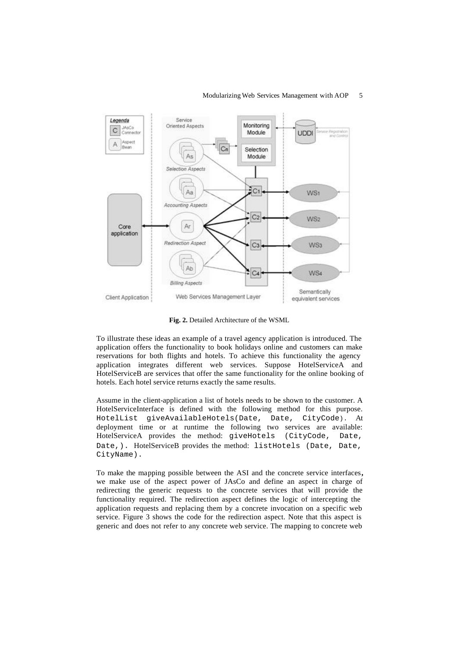### Modularizing Web Services Management with AOP 5



**Fig. 2.** Detailed Architecture of the WSML

To illustrate these ideas an example of a travel agency application is introduced. The application offers the functionality to book holidays online and customers can make reservations for both flights and hotels. To achieve this functionality the agency application integrates different web services. Suppose HotelServiceA and HotelServiceB are services that offer the same functionality for the online booking of hotels. Each hotel service returns exactly the same results.

Assume in the client-application a list of hotels needs to be shown to the customer. A HotelServiceInterface is defined with the following method for this purpose. HotelList giveAvailableHotels(Date, Date, CityCode). At deployment time or at runtime the following two services are available: HotelServiceA provides the method: giveHotels (CityCode, Date, Date, ). HotelServiceB provides the method: listHotels (Date, Date, CityName).

To make the mapping possible between the ASI and the concrete service interfaces**,**  we make use of the aspect power of JAsCo and define an aspect in charge of redirecting the generic requests to the concrete services that will provide the functionality required. The redirection aspect defines the logic of intercepting the application requests and replacing them by a concrete invocation on a specific web service. Figure 3 shows the code for the redirection aspect. Note that this aspect is generic and does not refer to any concrete web service. The mapping to concrete web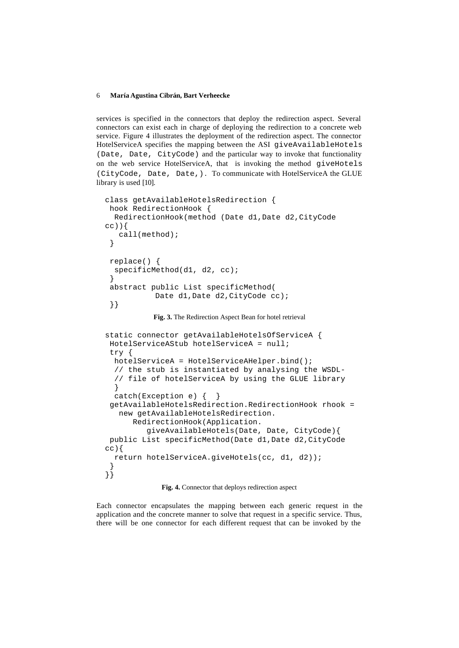services is specified in the connectors that deploy the redirection aspect. Several connectors can exist each in charge of deploying the redirection to a concrete web service. Figure 4 illustrates the deployment of the redirection aspect. The connector HotelServiceA specifies the mapping between the ASI giveAvailableHotels (Date, Date, CityCode) and the particular way to invoke that functionality on the web service HotelServiceA, that is invoking the method giveHotels (CityCode, Date, Date,). To communicate with HotelServiceA the GLUE library is used [10].

```
class getAvailableHotelsRedirection {
 hook RedirectionHook {
   RedirectionHook(method (Date d1,Date d2,CityCode 
cc)}
    call(method);
  }
  replace() {
   specificMethod(d1, d2, cc);
  }
  abstract public List specificMethod(
           Date d1, Date d2, CityCode cc);
  }}
```
**Fig. 3.** The Redirection Aspect Bean for hotel retrieval

```
static connector getAvailableHotelsOfServiceA {
 HotelServiceAStub hotelServiceA = null;
 try { 
  hotelServiceA = HotelServiceAHelper.bind();
  // the stub is instantiated by analysing the WSDL-
   // file of hotelServiceA by using the GLUE library
   }
 catch(Exception e) {\n} getAvailableHotelsRedirection.RedirectionHook rhook = 
   new getAvailableHotelsRedirection. 
       RedirectionHook(Application.
          giveAvailableHotels(Date, Date, CityCode){
 public List specificMethod(Date d1,Date d2,CityCode 
cc} {
  return hotelServiceA.giveHotels(cc, d1, d2));
 }
}}
```
**Fig. 4.** Connector that deploys redirection aspect

Each connector encapsulates the mapping between each generic request in the application and the concrete manner to solve that request in a specific service. Thus, there will be one connector for each different request that can be invoked by the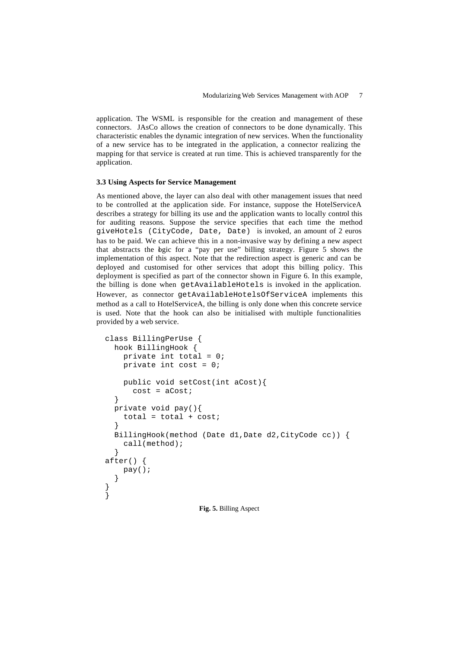application. The WSML is responsible for the creation and management of these connectors. JAsCo allows the creation of connectors to be done dynamically. This characteristic enables the dynamic integration of new services. When the functionality of a new service has to be integrated in the application, a connector realizing the mapping for that service is created at run time. This is achieved transparently for the application.

### **3.3 Using Aspects for Service Management**

As mentioned above, the layer can also deal with other management issues that need to be controlled at the application side. For instance, suppose the HotelServiceA describes a strategy for billing its use and the application wants to locally control this for auditing reasons. Suppose the service specifies that each time the method giveHotels (CityCode, Date, Date) is invoked, an amount of 2 euros has to be paid. We can achieve this in a non-invasive way by defining a new aspect that abstracts the bgic for a "pay per use" billing strategy. Figure 5 shows the implementation of this aspect. Note that the redirection aspect is generic and can be deployed and customised for other services that adopt this billing policy. This deployment is specified as part of the connector shown in Figure 6. In this example, the billing is done when getAvailableHotels is invoked in the application. However, as connector getAvailableHotelsOfServiceA implements this method as a call to HotelServiceA, the billing is only done when this concrete service is used. Note that the hook can also be initialised with multiple functionalities provided by a web service.

```
class BillingPerUse {
   hook BillingHook {
    private int total = 0;
    private int cost = 0;
     public void setCost(int aCost){
      cost = aCost; } 
   private void pay(){
    total = total + cost; }
   BillingHook(method (Date d1,Date d2,CityCode cc)) {
     call(method);
   }
after() {
     pay();
   }
}
}
                      Fig. 5. Billing Aspect
```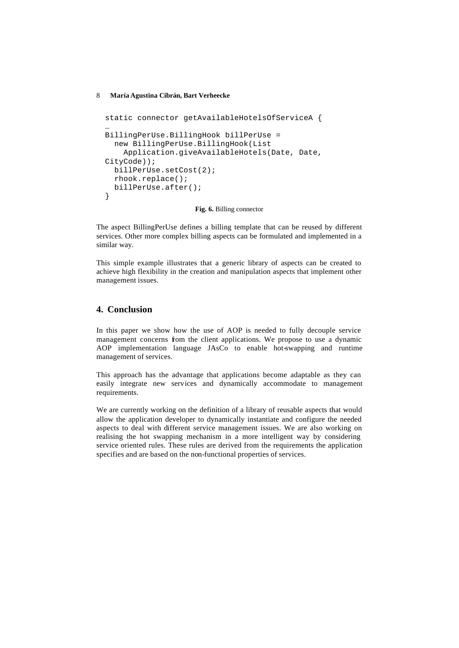```
static connector getAvailableHotelsOfServiceA {
…
BillingPerUse.BillingHook billPerUse = 
   new BillingPerUse.BillingHook(List 
     Application.giveAvailableHotels(Date, Date, 
CityCode));
   billPerUse.setCost(2);
   rhook.replace();
   billPerUse.after();
}
```
**Fig. 6.** Billing connector

The aspect BillingPerUse defines a billing template that can be reused by different services. Other more complex billing aspects can be formulated and implemented in a similar way.

This simple example illustrates that a generic library of aspects can be created to achieve high flexibility in the creation and manipulation aspects that implement other management issues.

## **4. Conclusion**

In this paper we show how the use of AOP is needed to fully decouple service management concerns from the client applications. We propose to use a dynamic AOP implementation language JAsCo to enable hot-swapping and runtime management of services.

This approach has the advantage that applications become adaptable as they can easily integrate new services and dynamically accommodate to management requirements.

We are currently working on the definition of a library of reusable aspects that would allow the application developer to dynamically instantiate and configure the needed aspects to deal with different service management issues. We are also working on realising the hot swapping mechanism in a more intelligent way by considering service oriented rules. These rules are derived from the requirements the application specifies and are based on the non-functional properties of services.